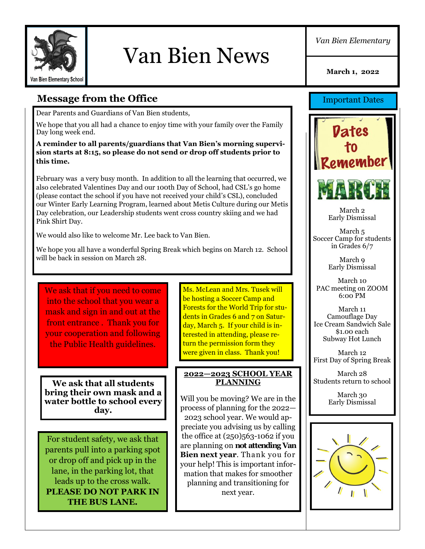

# Van Bien News

*Van Bien Elementary*

**March 1, 2022**

## **Message from the Office**

Dear Parents and Guardians of Van Bien students,

We hope that you all had a chance to enjoy time with your family over the Family Day long week end.

#### **A reminder to all parents/guardians that Van Bien's morning supervision starts at 8:15, so please do not send or drop off students prior to this time.**

February was a very busy month. In addition to all the learning that occurred, we also celebrated Valentines Day and our 100th Day of School, had CSL's go home (please contact the school if you have not received your child's CSL), concluded our Winter Early Learning Program, learned about Metis Culture during our Metis Day celebration, our Leadership students went cross country skiing and we had Pink Shirt Day.

We would also like to welcome Mr. Lee back to Van Bien.

We hope you all have a wonderful Spring Break which begins on March 12. School will be back in session on March 28.

We ask that if you need to come into the school that you wear a mask and sign in and out at the front entrance . Thank you for your cooperation and following the Public Health guidelines.

**We ask that all students bring their own mask and a water bottle to school every day.** 

For student safety, we ask that parents pull into a parking spot or drop off and pick up in the lane, in the parking lot, that leads up to the cross walk. **PLEASE DO NOT PARK IN THE BUS LANE.**

Ms. McLean and Mrs. Tusek will be hosting a Soccer Camp and Forests for the World Trip for students in Grades 6 and 7 on Saturday, March 5. If your child is interested in attending, please return the permission form they were given in class. Thank you!

#### **2022—2023 SCHOOL YEAR PLANNING**

Will you be moving? We are in the process of planning for the 2022— 2023 school year. We would appreciate you advising us by calling the office at (250)563-1062 if you are planning on **not attending Van Bien next year**. Thank you for your help! This is important information that makes for smoother planning and transitioning for next year.

Important Dates



March 2 Early Dismissal

March 5 Soccer Camp for students in Grades 6/7

> March 9 Early Dismissal

March 10 PAC meeting on ZOOM 6:00 PM

March 11 Camouflage Day Ice Cream Sandwich Sale \$1.00 each Subway Hot Lunch

March 12 First Day of Spring Break

March 28 Students return to school

> March 30 Early Dismissal

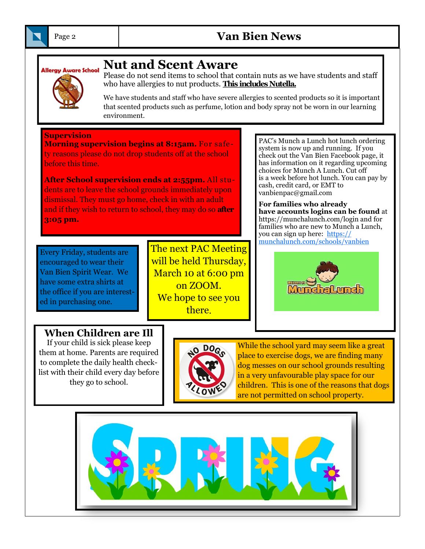

## Page 2 **Van Bien News**



## **Nut and Scent Aware**

Please do not send items to school that contain nuts as we have students and staff who have allergies to nut products. **This includes Nutella.**

We have students and staff who have severe allergies to scented products so it is important that scented products such as perfume, lotion and body spray not be worn in our learning environment.

**Supervision**

**Morning supervision begins at 8:15am.** For safety reasons please do not drop students off at the school before this time.

**After School supervision ends at 2:55pm.** All students are to leave the school grounds immediately upon dismissal. They must go home, check in with an adult and if they wish to return to school, they may do so **after 3:05 pm.**

Every Friday, students are encouraged to wear their Van Bien Spirit Wear. We have some extra shirts at the office if you are interested in purchasing one.

The next PAC Meeting will be held Thursday, March 10 at 6:00 pm on ZOOM. We hope to see you there.

PAC's Munch a Lunch hot lunch ordering system is now up and running. If you check out the Van Bien Facebook page, it has information on it regarding upcoming choices for Munch A Lunch. Cut off is a week before hot lunch. You can pay by cash, credit card, or EMT to vanbienpac@gmail.com

**For families who already have accounts logins can be found** at https://munchalunch.com/login and for families who are new to Munch a Lunch, you can sign up here: [https://](https://munchalunch.com/schools/vanbien) [munchalunch.com/schools/vanbien](https://munchalunch.com/schools/vanbien)



### **When Children are Ill**

If your child is sick please keep them at home. Parents are required to complete the daily health checklist with their child every day before they go to school.



While the school yard may seem like a great place to exercise dogs, we are finding many dog messes on our school grounds resulting in a very unfavourable play space for our children. This is one of the reasons that dogs are not permitted on school property.